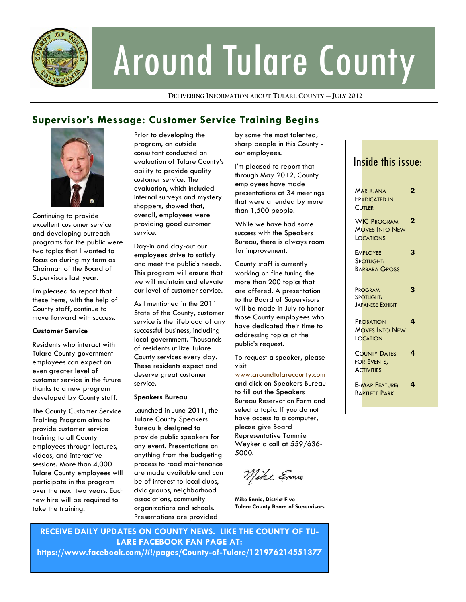

# Around Tulare County

**DELIVERING INFORMATION ABOUT TULARE COUNTY — JULY 2012**

### **Supervisor's Message: Customer Service Training Begins**



Continuing to provide excellent customer service and developing outreach programs for the public were two topics that I wanted to focus on during my term as Chairman of the Board of Supervisors last year.

I'm pleased to report that these items, with the help of County staff, continue to move forward with success.

#### **Customer Service**

Residents who interact with Tulare County government employees can expect an even greater level of customer service in the future thanks to a new program developed by County staff.

The County Customer Service Training Program aims to provide customer service training to all County employees through lectures, videos, and interactive sessions. More than 4,000 Tulare County employees will participate in the program over the next two years. Each new hire will be required to take the training.

Prior to developing the program, an outside consultant conducted an evaluation of Tulare County's ability to provide quality customer service. The evaluation, which included internal surveys and mystery shoppers, showed that, overall, employees were providing good customer service.

Day-in and day-out our employees strive to satisfy and meet the public's needs. This program will ensure that we will maintain and elevate our level of customer service.

As I mentioned in the 2011 State of the County, customer service is the lifeblood of any successful business, including local government. Thousands of residents utilize Tulare County services every day. These residents expect and deserve great customer service.

#### **Speakers Bureau**

Launched in June 2011, the Tulare County Speakers Bureau is designed to provide public speakers for any event. Presentations on anything from the budgeting process to road maintenance are made available and can be of interest to local clubs, civic groups, neighborhood associations, community organizations and schools. Presentations are provided

by some the most talented, sharp people in this County our employees.

I'm pleased to report that through May 2012, County employees have made presentations at 34 meetings that were attended by more than 1,500 people.

While we have had some success with the Speakers Bureau, there is always room for improvement.

County staff is currently working on fine tuning the more than 200 topics that are offered. A presentation to the Board of Supervisors will be made in July to honor those County employees who have dedicated their time to addressing topics at the public's request.

To request a speaker, please visit

#### www.aroundtularecounty.com

and click on Speakers Bureau to fill out the Speakers Bureau Reservation Form and select a topic. If you do not have access to a computer, please give Board Representative Tammie Weyker a call at 559/636- 5000.

Mike Emis

**Mike Ennis, District Five Tulare County Board of Supervisors** 

**RECEIVE DAILY UPDATES ON COUNTY NEWS. LIKE THE COUNTY OF TU-LARE FACEBOOK FAN PAGE AT: https://www.facebook.com/#!/pages/County-of-Tulare/121976214551377** 

## Inside this issue:

| <b>MARIJUANA</b>        | 2 |
|-------------------------|---|
| <b>ERADICATED IN</b>    |   |
| <b>CUTLER</b>           |   |
|                         |   |
| <b>WIC PROGRAM</b>      | 2 |
| <b>MOVES INTO NEW</b>   |   |
| <b>LOCATIONS</b>        |   |
|                         |   |
| <b>EMPLOYEE</b>         | 3 |
| <b>SPOTLIGHT:</b>       |   |
| <b>BARBARA GROSS</b>    |   |
|                         |   |
| PROGRAM                 | 3 |
| SPOTLIGHT:              |   |
| <b>JAPANESE EXHIBIT</b> |   |
|                         |   |
|                         | 4 |
| <b>PROBATION</b>        |   |
| <b>MOVES INTO NEW</b>   |   |
| LOCATION                |   |
|                         | 4 |
| <b>COUNTY DATES</b>     |   |
| FOR EVENTS,             |   |
| <b>ACTIVITIES</b>       |   |
|                         | 4 |
| <b>E-MAP FEATURE:</b>   |   |
| <b>BARTIFTT PARK</b>    |   |
|                         |   |
|                         |   |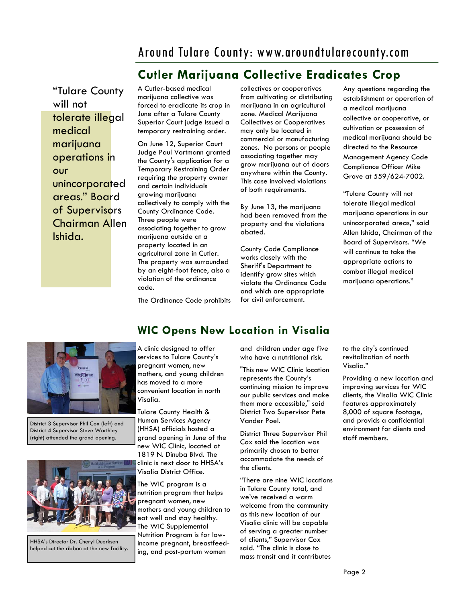# Around Tulare County: www.aroundtularecounty.com

# **Cutler Marijuana Collective Eradicates Crop**

"Tulare County will not tolerate illegal medical marijuana operations in our unincorporated areas." Board of Supervisors Chairman Allen Ishida.

A Cutler-based medical marijuana collective was forced to eradicate its crop in June after a Tulare County Superior Court judge issued a temporary restraining order.

On June 12, Superior Court Judge Paul Vortmann granted the County's application for a Temporary Restraining Order requiring the property owner and certain individuals growing marijuana collectively to comply with the County Ordinance Code. Three people were associating together to grow marijuana outside at a property located in an agricultural zone in Cutler. The property was surrounded by an eight-foot fence, also a violation of the ordinance code.

collectives or cooperatives from cultivating or distributing marijuana in an agricultural zone. Medical Marijuana Collectives or Cooperatives may only be located in commercial or manufacturing zones. No persons or people associating together may grow marijuana out of doors anywhere within the County. This case involved violations of both requirements.

By June 13, the marijuana had been removed from the property and the violations abated.

County Code Compliance works closely with the Sheriff's Department to identify grow sites which violate the Ordinance Code and which are appropriate for civil enforcement.

Any questions regarding the establishment or operation of a medical marijuana collective or cooperative, or cultivation or possession of medical marijuana should be directed to the Resource Management Agency Code Compliance Officer Mike Grove at 559/624-7002.

"Tulare County will not tolerate illegal medical marijuana operations in our unincorporated areas," said Allen Ishida, Chairman of the Board of Supervisors. "We will continue to take the appropriate actions to combat illegal medical marijuana operations."

The Ordinance Code prohibits



District 3 Supervisor Phil Cox (left) and District 4 Supervisor Steve Worthley (right) attended the grand opening.



HHSA's Director Dr. Cheryl Duerksen helped cut the ribbon at the new facility.

## **WIC Opens New Location in Visalia**

A clinic designed to offer services to Tulare County's pregnant women, new mothers, and young children has moved to a more convenient location in north Visalia.

Tulare County Health & Human Services Agency (HHSA) officials hosted a grand opening in June of the new WIC Clinic, located at 1819 N. Dinuba Blvd. The clinic is next door to HHSA's Visalia District Office.

The WIC program is a nutrition program that helps pregnant women, new mothers and young children to eat well and stay healthy. The WIC Supplemental Nutrition Program is for lowincome pregnant, breastfeeding, and post-partum women

and children under age five who have a nutritional risk.

"This new WIC Clinic location represents the County's continuing mission to improve our public services and make them more accessible," said District Two Supervisor Pete Vander Poel.

District Three Supervisor Phil Cox said the location was primarily chosen to better accommodate the needs of the clients.

"There are nine WIC locations in Tulare County total, and we've received a warm welcome from the community as this new location of our Visalia clinic will be capable of serving a greater number of clients," Supervisor Cox said. "The clinic is close to mass transit and it contributes

to the city's continued revitalization of north Visalia."

Providing a new location and improving services for WIC clients, the Visalia WIC Clinic features approximately 8,000 of square footage, and provids a confidential environment for clients and staff members.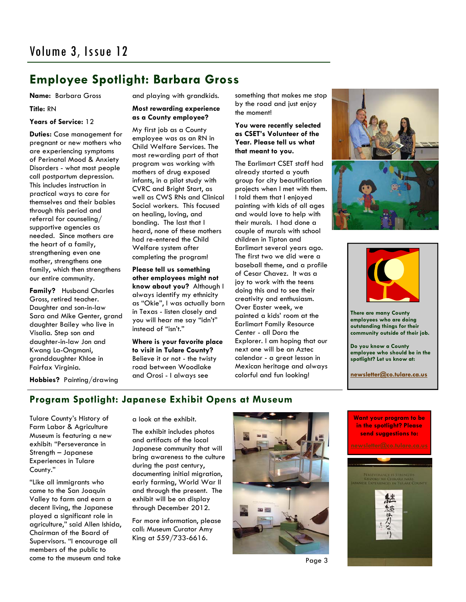## **Employee Spotlight: Barbara Gross**

#### **Name:** Barbara Gross

**Title:** RN

#### **Years of Service:** 12

**Duties:** Case management for pregnant or new mothers who are experiencing symptoms of Perinatal Mood & Anxiety Disorders - what most people call postpartum depression. This includes instruction in practical ways to care for themselves and their babies through this period and referral for counseling/ supportive agencies as needed. Since mothers are the heart of a family, strengthening even one mother, strengthens one family, which then strengthens our entire community.

**Family?** Husband Charles Gross, retired teacher. Daughter and son-in-law Sara and Mike Genter, grand daughter Bailey who live in Visalia. Step son and daughter-in-law Jon and Kwang La-Ongmani, granddaughter Khloe in Fairfax Virginia.

and playing with grandkids.

#### **Most rewarding experience as a County employee?**

My first job as a County employee was as an RN in Child Welfare Services. The most rewarding part of that program was working with mothers of drug exposed infants, in a pilot study with CVRC and Bright Start, as well as CWS RNs and Clinical Social workers. This focused on healing, loving, and bonding. The last that I heard, none of these mothers had re-entered the Child Welfare system after completing the program!

**Please tell us something other employees might not know about you?** Although I always identify my ethnicity as "Okie", I was actually born in Texas - listen closely and you will hear me say "idn't" instead of "isn't."

**Where is your favorite place to visit in Tulare County?**  Believe it or not - the twisty road between Woodlake and Orosi - I always see

something that makes me stop by the road and just enjoy the moment!

#### **You were recently selected as CSET's Volunteer of the Year. Please tell us what that meant to you.**

The Earlimart CSET staff had already started a youth group for city beautification projects when I met with them. I told them that I enjoyed painting with kids of all ages and would love to help with their murals. I had done a couple of murals with school children in Tipton and Earlimart several years ago. The first two we did were a baseball theme, and a profile of Cesar Chavez. It was a joy to work with the teens doing this and to see their creativity and enthusiasm. Over Easter week, we painted a kids' room at the Earlimart Family Resource Center - all Dora the Explorer. I am hoping that our next one will be an Aztec calendar - a great lesson in Mexican heritage and always colorful and fun looking!





**There are many County employees who are doing outstanding things for their community outside of their job.** 

**Do you know a County employee who should be in the spotlight? Let us know at:** 

**newsletter@co.tulare.ca.us**

**Hobbies?** Painting/drawing

#### **Program Spotlight: Japanese Exhibit Opens at Museum**

Tulare County's History of Farm Labor & Agriculture Museum is featuring a new exhibit: "Perseverance in Strength – Japanese Experiences in Tulare County."

"Like all immigrants who came to the San Joaquin Valley to farm and earn a decent living, the Japanese played a significant role in agriculture," said Allen Ishida, Chairman of the Board of Supervisors. "I encourage all members of the public to come to the museum and take

a look at the exhibit.

The exhibit includes photos and artifacts of the local Japanese community that will bring awareness to the culture during the past century, documenting initial migration, early farming, World War II and through the present. The exhibit will be on display through December 2012.

For more information, please call: Museum Curator Amy King at 559/733-6616.